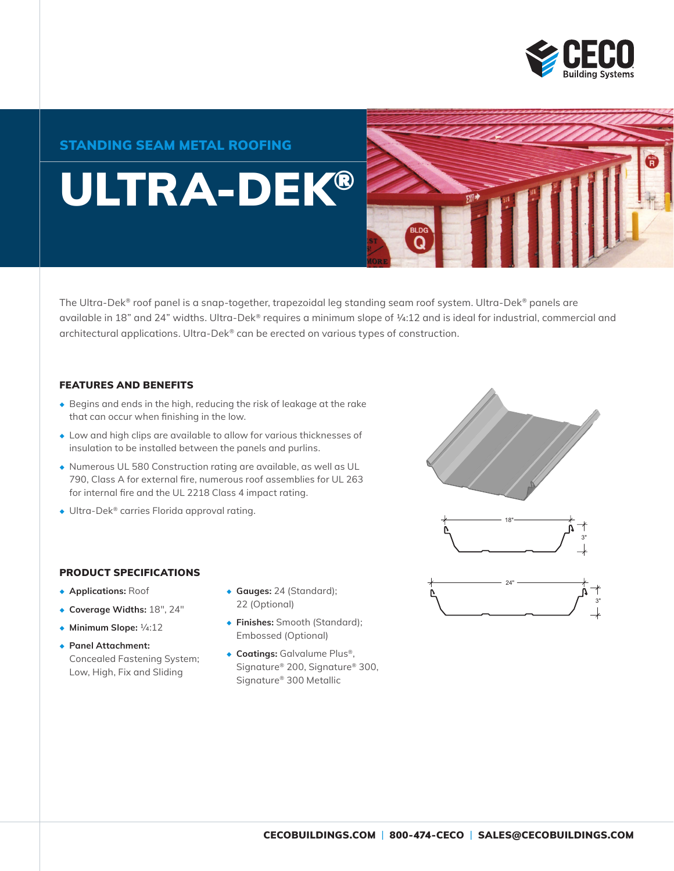

#### STANDING SEAM METAL ROOFING

# ULTRA-DEK®



The Ultra-Dek® roof panel is a snap-together, trapezoidal leg standing seam roof system. Ultra-Dek® panels are available in 18" and 24" widths. Ultra-Dek® requires a minimum slope of ¼:12 and is ideal for industrial, commercial and architectural applications. Ultra-Dek® can be erected on various types of construction.

#### FEATURES AND BENEFITS

- ◆ Begins and ends in the high, reducing the risk of leakage at the rake that can occur when finishing in the low.
- ◆ Low and high clips are available to allow for various thicknesses of insulation to be installed between the panels and purlins.
- ◆ Numerous UL 580 Construction rating are available, as well as UL 790, Class A for external fire, numerous roof assemblies for UL 263 for internal fire and the UL 2218 Class 4 impact rating.
- ◆ Ultra-Dek® carries Florida approval rating.



- ◆ **Applications:** Roof
- ◆ **Coverage Widths:** 18", 24"
- ◆ **Minimum Slope:** 1/4:12
- ◆ **Panel Attachment:** Concealed Fastening System; Low, High, Fix and Sliding
- ◆ **Gauges:** 24 (Standard); 22 (Optional)
- ◆ **Finishes:** Smooth (Standard); Embossed (Optional)
- ◆ **Coatings:** Galvalume Plus®, Signature® 200, Signature® 300, Signature® 300 Metallic